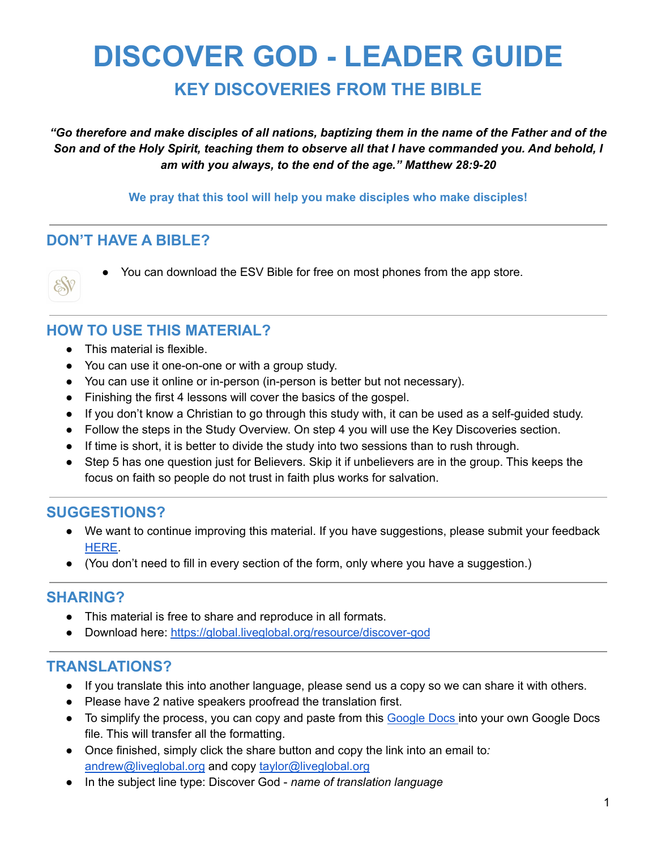# **DISCOVER GOD - LEADER GUIDE**

**KEY DISCOVERIES FROM THE BIBLE**

"Go therefore and make disciples of all nations, baptizing them in the name of the Father and of the Son and of the Holy Spirit, teaching them to observe all that I have commanded you. And behold, I *am with you always, to the end of the age." Matthew 28:9-20*

#### **We pray that this tool will help you make disciples who make disciples!**

#### **DON'T HAVE A BIBLE?**



● You can download the ESV Bible for free on most phones from the app store.

#### **HOW TO USE THIS MATERIAL?**

- This material is flexible.
- You can use it one-on-one or with a group study.
- You can use it online or in-person (in-person is better but not necessary).
- Finishing the first 4 lessons will cover the basics of the gospel.
- If you don't know a Christian to go through this study with, it can be used as a self-guided study.
- Follow the steps in the Study Overview. On step 4 you will use the Key Discoveries section.
- If time is short, it is better to divide the study into two sessions than to rush through.
- Step 5 has one question just for Believers. Skip it if unbelievers are in the group. This keeps the focus on faith so people do not trust in faith plus works for salvation.

### **SUGGESTIONS?**

- We want to continue improving this material. If you have suggestions, please submit your feedback [HERE.](https://docs.google.com/forms/d/e/1FAIpQLSeCVzQW_ojXanSC8C6vyICF9MGykpaNiBPEeXEUDmFmvnyG_g/viewform?usp=sf_link)
- (You don't need to fill in every section of the form, only where you have a suggestion.)

#### **SHARING?**

- This material is free to share and reproduce in all formats.
- Download here: <https://global.liveglobal.org/resource/discover-god>

#### **TRANSLATIONS?**

- If you translate this into another language, please send us a copy so we can share it with others.
- Please have 2 native speakers proofread the translation first.
- To simplify the process, you can copy and paste from this [Google](https://docs.google.com/document/d/1osFPgUesiCs6nGilIvOFfm_Wi8F_mmdwo1GWcaYSmXU/edit?usp=sharing) Docs into your own Google Docs file. This will transfer all the formatting.
- Once finished, simply click the share button and copy the link into an email to*:* [andrew@liveglobal.org](mailto:andrew@liveglobal.org) and copy [taylor@liveglobal.org](mailto:taylor@liveglobal.org)
- In the subject line type: Discover God *name of translation language*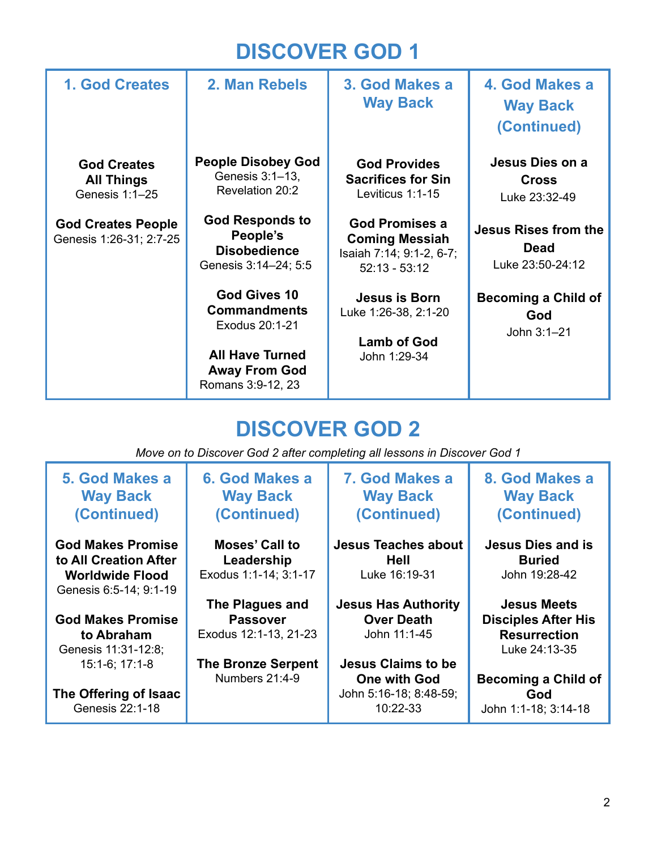## **DISCOVER GOD 1**

| <b>1. God Creates</b>                                                                                             | 2. Man Rebels                                                                                                                                                                                                                                                                        | 3. God Makes a<br><b>Way Back</b>                                                                                                                                                                                                                    | 4. God Makes a<br><b>Way Back</b><br>(Continued)                                                                                                                       |
|-------------------------------------------------------------------------------------------------------------------|--------------------------------------------------------------------------------------------------------------------------------------------------------------------------------------------------------------------------------------------------------------------------------------|------------------------------------------------------------------------------------------------------------------------------------------------------------------------------------------------------------------------------------------------------|------------------------------------------------------------------------------------------------------------------------------------------------------------------------|
| <b>God Creates</b><br><b>All Things</b><br>Genesis 1:1-25<br><b>God Creates People</b><br>Genesis 1:26-31; 2:7-25 | <b>People Disobey God</b><br>Genesis 3:1-13,<br>Revelation 20:2<br><b>God Responds to</b><br>People's<br><b>Disobedience</b><br>Genesis 3:14-24; 5:5<br>God Gives 10<br><b>Commandments</b><br>Exodus 20:1-21<br><b>All Have Turned</b><br><b>Away From God</b><br>Romans 3:9-12, 23 | <b>God Provides</b><br><b>Sacrifices for Sin</b><br>Leviticus 1:1-15<br><b>God Promises a</b><br><b>Coming Messiah</b><br>Isaiah 7:14; 9:1-2, 6-7;<br>$52:13 - 53:12$<br>Jesus is Born<br>Luke 1:26-38, 2:1-20<br><b>Lamb of God</b><br>John 1:29-34 | Jesus Dies on a<br><b>Cross</b><br>Luke 23:32-49<br><b>Jesus Rises from the</b><br><b>Dead</b><br>Luke 23:50-24:12<br><b>Becoming a Child of</b><br>God<br>John 3:1-21 |

## **DISCOVER GOD 2**

*Move on to Discover God 2 after completing all lessons in Discover God 1*

| 5. God Makes a<br><b>Way Back</b><br>(Continued) | 6. God Makes a<br><b>Way Back</b><br>(Continued) | 7. God Makes a<br><b>Way Back</b><br>(Continued) | 8. God Makes a<br><b>Way Back</b><br>(Continued) |
|--------------------------------------------------|--------------------------------------------------|--------------------------------------------------|--------------------------------------------------|
| <b>God Makes Promise</b>                         | Moses' Call to                                   | <b>Jesus Teaches about</b>                       | <b>Jesus Dies and is</b>                         |
| to All Creation After                            | Leadership                                       | <b>Hell</b>                                      | <b>Buried</b>                                    |
| <b>Worldwide Flood</b>                           | Exodus 1:1-14; 3:1-17                            | Luke 16:19-31                                    | John 19:28-42                                    |
| Genesis 6:5-14; 9:1-19                           |                                                  |                                                  |                                                  |
|                                                  | The Plagues and                                  | <b>Jesus Has Authority</b>                       | <b>Jesus Meets</b>                               |
| <b>God Makes Promise</b>                         | <b>Passover</b>                                  | <b>Over Death</b>                                | <b>Disciples After His</b>                       |
| to Abraham                                       | Exodus 12:1-13, 21-23                            | John 11:1-45                                     | <b>Resurrection</b>                              |
| Genesis 11:31-12:8;                              |                                                  |                                                  | Luke 24:13-35                                    |
| $15:1-6$ ; 17:1-8                                | <b>The Bronze Serpent</b>                        | <b>Jesus Claims to be</b>                        |                                                  |
|                                                  | Numbers 21:4-9                                   | <b>One with God</b>                              | <b>Becoming a Child of</b>                       |
| The Offering of Isaac                            |                                                  | John 5:16-18; 8:48-59;                           | God                                              |
| Genesis 22:1-18                                  |                                                  | 10:22-33                                         | John 1:1-18; 3:14-18                             |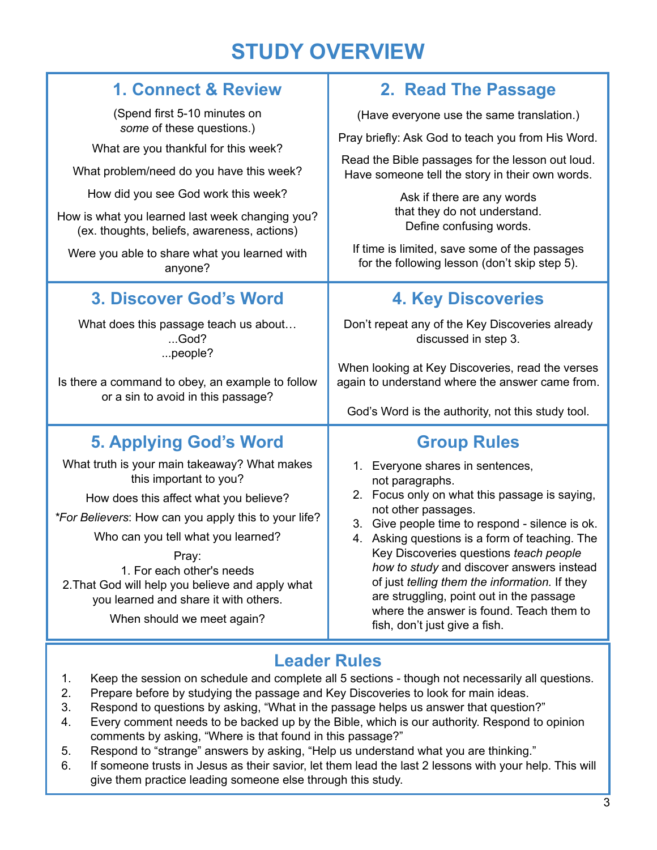## **STUDY OVERVIEW**

т

| 2. Read The Passage                                                                                                                                                                                                                                                                                                                                                                                                                                                                               |  |  |
|---------------------------------------------------------------------------------------------------------------------------------------------------------------------------------------------------------------------------------------------------------------------------------------------------------------------------------------------------------------------------------------------------------------------------------------------------------------------------------------------------|--|--|
| (Have everyone use the same translation.)                                                                                                                                                                                                                                                                                                                                                                                                                                                         |  |  |
| Pray briefly: Ask God to teach you from His Word.                                                                                                                                                                                                                                                                                                                                                                                                                                                 |  |  |
| Read the Bible passages for the lesson out loud.<br>Have someone tell the story in their own words.                                                                                                                                                                                                                                                                                                                                                                                               |  |  |
| Ask if there are any words<br>that they do not understand.<br>Define confusing words.                                                                                                                                                                                                                                                                                                                                                                                                             |  |  |
| If time is limited, save some of the passages<br>for the following lesson (don't skip step 5).                                                                                                                                                                                                                                                                                                                                                                                                    |  |  |
| <b>4. Key Discoveries</b>                                                                                                                                                                                                                                                                                                                                                                                                                                                                         |  |  |
| Don't repeat any of the Key Discoveries already<br>discussed in step 3.                                                                                                                                                                                                                                                                                                                                                                                                                           |  |  |
| When looking at Key Discoveries, read the verses<br>again to understand where the answer came from.<br>God's Word is the authority, not this study tool.                                                                                                                                                                                                                                                                                                                                          |  |  |
| <b>Group Rules</b>                                                                                                                                                                                                                                                                                                                                                                                                                                                                                |  |  |
| 1. Everyone shares in sentences,<br>not paragraphs.<br>2. Focus only on what this passage is saying,<br>not other passages.<br>3. Give people time to respond - silence is ok.<br>4. Asking questions is a form of teaching. The<br>Key Discoveries questions teach people<br>how to study and discover answers instead<br>of just telling them the information. If they<br>are struggling, point out in the passage<br>where the answer is found. Teach them to<br>fish, don't just give a fish. |  |  |
|                                                                                                                                                                                                                                                                                                                                                                                                                                                                                                   |  |  |

## **Leader Rules**

- 1. Keep the session on schedule and complete all 5 sections though not necessarily all questions.
- 2. Prepare before by studying the passage and Key Discoveries to look for main ideas.
- 3. Respond to questions by asking, "What in the passage helps us answer that question?"
- 4. Every comment needs to be backed up by the Bible, which is our authority. Respond to opinion comments by asking, "Where is that found in this passage?"
- 5. Respond to "strange" answers by asking, "Help us understand what you are thinking."
- 6. If someone trusts in Jesus as their savior, let them lead the last 2 lessons with your help. This will give them practice leading someone else through this study.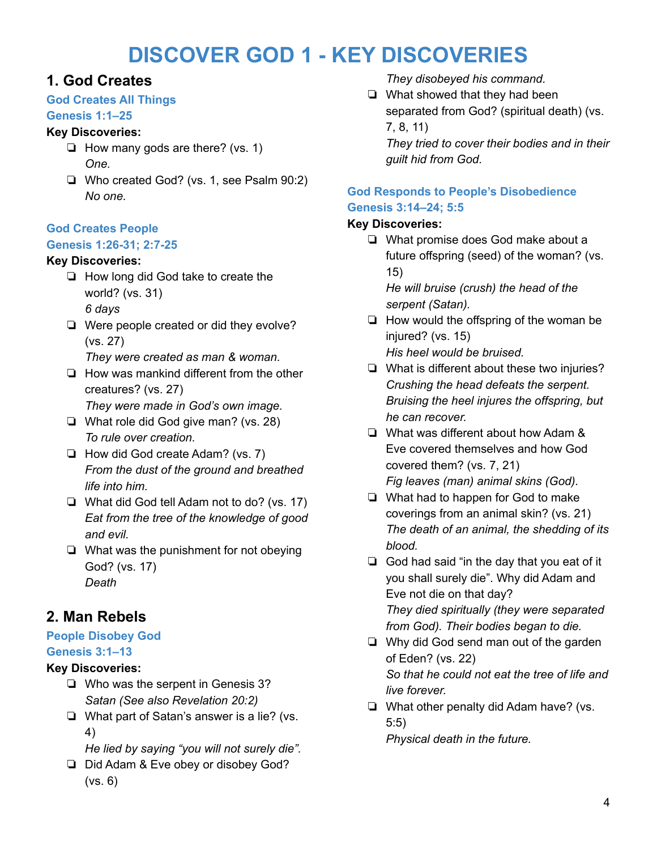## **DISCOVER GOD 1 - KEY DISCOVERIES**

## **1. God Creates**

#### **God Creates All Things**

#### **Genesis 1:1–25**

#### **Key Discoveries:**

- ❏ How many gods are there? (vs. 1) *One.*
- ❏ Who created God? (vs. 1, see Psalm 90:2) *No one.*

#### **God Creates People**

#### **Genesis 1:26-31; 2:7-25**

#### **Key Discoveries:**

- ❏ How long did God take to create the world? (vs. 31) *6 days*
- ❏ Were people created or did they evolve? (vs. 27)
	- *They were created as man & woman.*
- ❏ How was mankind different from the other creatures? (vs. 27) *They were made in God's own image.*
- ❏ What role did God give man? (vs. 28) *To rule over creation.*
- ❏ How did God create Adam? (vs. 7) *From the dust of the ground and breathed life into him.*
- ❏ What did God tell Adam not to do? (vs. 17) *Eat from the tree of the knowledge of good and evil.*
- ❏ What was the punishment for not obeying God? (vs. 17) *Death*

## **2. Man Rebels**

## **People Disobey God**

**Genesis 3:1–13**

## **Key Discoveries:**

- ❏ Who was the serpent in Genesis 3? *Satan (See also Revelation 20:2)*
- ❏ What part of Satan's answer is a lie? (vs. 4)
	- *He lied by saying "you will not surely die".*
- ❏ Did Adam & Eve obey or disobey God? (vs. 6)

*They disobeyed his command.*

❏ What showed that they had been separated from God? (spiritual death) (vs. 7, 8, 11)

*They tried to cover their bodies and in their guilt hid from God.*

#### **God Responds to People's Disobedience Genesis 3:14–24; 5:5**

#### **Key Discoveries:**

❏ What promise does God make about a future offspring (seed) of the woman? (vs. 15)

*He will bruise (crush) the head of the serpent (Satan).*

- ❏ How would the offspring of the woman be injured? (vs. 15) *His heel would be bruised.*
- ❏ What is different about these two injuries? *Crushing the head defeats the serpent. Bruising the heel injures the offspring, but he can recover.*
- ❏ What was different about how Adam & Eve covered themselves and how God covered them? (vs. 7, 21)
	- *Fig leaves (man) animal skins (God).*
- ❏ What had to happen for God to make coverings from an animal skin? (vs. 21) *The death of an animal, the shedding of its blood.*
- ❏ God had said "in the day that you eat of it you shall surely die". Why did Adam and Eve not die on that day? *They died spiritually (they were separated from God). Their bodies began to die.*
- ❏ Why did God send man out of the garden of Eden? (vs. 22) *So that he could not eat the tree of life and live forever.*
- ❏ What other penalty did Adam have? (vs. 5:5) *Physical death in the future.*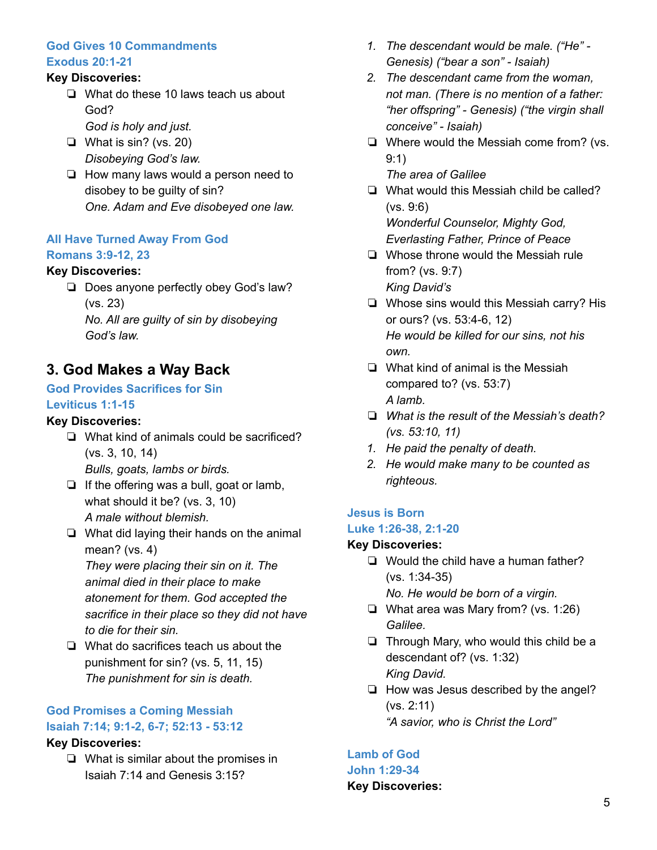#### **God Gives 10 Commandments Exodus 20:1-21**

#### **Key Discoveries:**

- ❏ What do these 10 laws teach us about God?
	- *God is holy and just.*
- ❏ What is sin? (vs. 20) *Disobeying God's law.*
- ❏ How many laws would a person need to disobey to be guilty of sin? *One. Adam and Eve disobeyed one law.*

#### **All Have Turned Away From God Romans 3:9-12, 23**

#### **Key Discoveries:**

❏ Does anyone perfectly obey God's law? (vs. 23)

*No. All are guilty of sin by disobeying God's law.*

## **3. God Makes a Way Back**

#### **God Provides Sacrifices for Sin Leviticus 1:1-15**

#### **Key Discoveries:**

- ❏ What kind of animals could be sacrificed? (vs. 3, 10, 14) *Bulls, goats, lambs or birds.*
- ❏ If the offering was a bull, goat or lamb, what should it be? (vs. 3, 10) *A male without blemish.*
- ❏ What did laying their hands on the animal mean? (vs. 4)

*They were placing their sin on it. The animal died in their place to make atonement for them. God accepted the sacrifice in their place so they did not have to die for their sin.*

❏ What do sacrifices teach us about the punishment for sin? (vs. 5, 11, 15) *The punishment for sin is death.*

## **God Promises a Coming Messiah Isaiah 7:14; 9:1-2, 6-7; 52:13 - 53:12**

#### **Key Discoveries:**

❏ What is similar about the promises in Isaiah 7:14 and Genesis 3:15?

- *1. The descendant would be male. ("He" - Genesis) ("bear a son" - Isaiah)*
- *2. The descendant came from the woman, not man. (There is no mention of a father: "her offspring" - Genesis) ("the virgin shall conceive" - Isaiah)*
- ❏ Where would the Messiah come from? (vs. 9:1)
	- *The area of Galilee*
- ❏ What would this Messiah child be called? (vs. 9:6) *Wonderful Counselor, Mighty God, Everlasting Father, Prince of Peace*
- ❏ Whose throne would the Messiah rule from? (vs. 9:7) *King David's*
- ❏ Whose sins would this Messiah carry? His or ours? (vs. 53:4-6, 12) *He would be killed for our sins, not his own.*
- ❏ What kind of animal is the Messiah compared to? (vs. 53:7) *A lamb.*
- ❏ *What is the result of the Messiah's death? (vs. 53:10, 11)*
- *1. He paid the penalty of death.*
- *2. He would make many to be counted as righteous.*

#### **Jesus is Born**

#### **Luke 1:26-38, 2:1-20**

#### **Key Discoveries:**

- ❏ Would the child have a human father? (vs. 1:34-35) *No. He would be born of a virgin.*
- ❏ What area was Mary from? (vs. 1:26) *Galilee.*
- ❏ Through Mary, who would this child be a descendant of? (vs. 1:32) *King David.*
- ❏ How was Jesus described by the angel? (vs. 2:11) *"A savior, who is Christ the Lord"*

#### **Lamb of God John 1:29-34**

### **Key Discoveries:**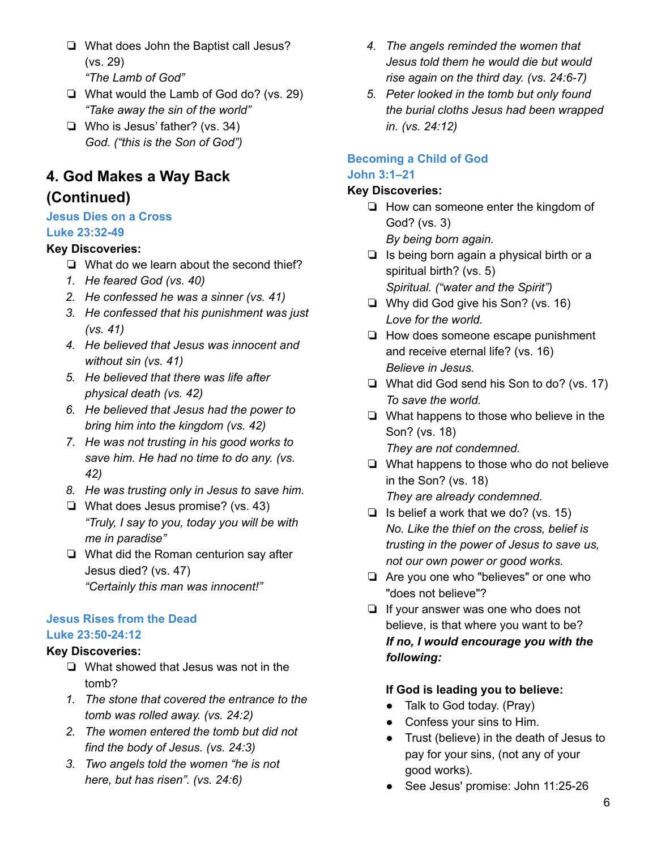- ❏ What does John the Baptist call Jesus? (vs. 29)
	- *"The Lamb of God"*
- ❏ What would the Lamb of God do? (vs. 29) *"Take away the sin of the world"*
- ❏ Who is Jesus' father? (vs. 34) *God. ("this is the Son of God")*

## **4. God Makes a Way Back**

### **(Continued)**

#### **Jesus Dies on a Cross**

#### **Luke 23:32-49**

#### **Key Discoveries:**

- ❏ What do we learn about the second thief?
- *1. He feared God (vs. 40)*
- *2. He confessed he was a sinner (vs. 41)*
- *3. He confessed that his punishment was just (vs. 41)*
- *4. He believed that Jesus was innocent and without sin (vs. 41)*
- *5. He believed that there was life after physical death (vs. 42)*
- *6. He believed that Jesus had the power to bring him into the kingdom (vs. 42)*
- *7. He was not trusting in his good works to save him. He had no time to do any. (vs. 42)*
- *8. He was trusting only in Jesus to save him.*
- ❏ What does Jesus promise? (vs. 43) *"Truly, I say to you, today you will be with me in paradise"*
- ❏ What did the Roman centurion say after Jesus died? (vs. 47) *"Certainly this man was innocent!"*

#### **Jesus Rises from the Dead Luke 23:50-24:12**

#### **Key Discoveries:**

- ❏ What showed that Jesus was not in the tomb?
- *1. The stone that covered the entrance to the tomb was rolled away. (vs. 24:2)*
- *2. The women entered the tomb but did not find the body of Jesus. (vs. 24:3)*
- *3. Two angels told the women "he is not here, but has risen". (vs. 24:6)*
- *4. The angels reminded the women that Jesus told them he would die but would rise again on the third day. (vs. 24:6-7)*
- *5. Peter looked in the tomb but only found the burial cloths Jesus had been wrapped in. (vs. 24:12)*

### **Becoming a Child of God**

#### **John 3:1–21**

#### **Key Discoveries:**

- ❏ How can someone enter the kingdom of God? (vs. 3) *By being born again.*
- ❏ Is being born again a physical birth or a spiritual birth? (vs. 5) *Spiritual. ("water and the Spirit")*
- ❏ Why did God give his Son? (vs. 16) *Love for the world.*
- ❏ How does someone escape punishment and receive eternal life? (vs. 16) *Believe in Jesus.*
- ❏ What did God send his Son to do? (vs. 17) *To save the world.*
- ❏ What happens to those who believe in the Son? (vs. 18) *They are not condemned.*
- ❏ What happens to those who do not believe in the Son? (vs. 18) *They are already condemned.*
- ❏ Is belief a work that we do? (vs. 15) *No. Like the thief on the cross, belief is trusting in the power of Jesus to save us, not our own power or good works.*
- ❏ Are you one who "believes" or one who "does not believe"?
- ❏ If your answer was one who does not believe, is that where you want to be? *If no, I would encourage you with the following:*

#### **If God is leading you to believe:**

- Talk to God today. (Pray)
- Confess your sins to Him.
- Trust (believe) in the death of Jesus to pay for your sins, (not any of your good works).
- See Jesus' promise: John 11:25-26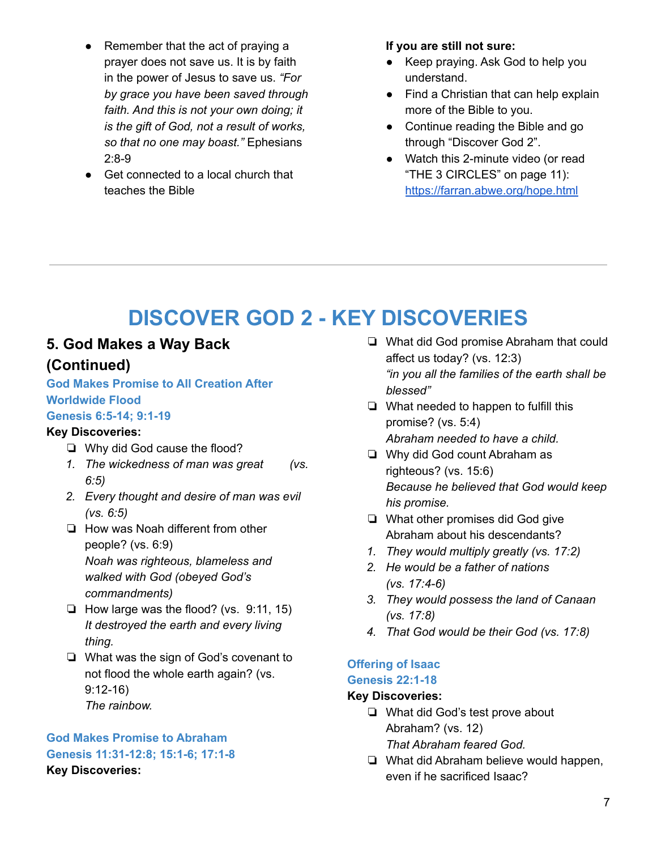- Remember that the act of praying a prayer does not save us. It is by faith in the power of Jesus to save us. *"For by grace you have been saved through faith. And this is not your own doing; it is the gift of God, not a result of works, so that no one may boast."* Ephesians 2:8-9
- Get connected to a local church that teaches the Bible

#### **If you are still not sure:**

- Keep praying. Ask God to help you understand.
- Find a Christian that can help explain more of the Bible to you.
- Continue reading the Bible and go through "Discover God 2".
- Watch this 2-minute video (or read "THE 3 CIRCLES" on page 11): <https://farran.abwe.org/hope.html>

## **DISCOVER GOD 2 - KEY DISCOVERIES**

## **5. God Makes a Way Back**

## **(Continued)**

**God Makes Promise to All Creation After Worldwide Flood**

#### **Genesis 6:5-14; 9:1-19**

#### **Key Discoveries:**

- ❏ Why did God cause the flood?
- *1. The wickedness of man was great (vs. 6:5)*
- *2. Every thought and desire of man was evil (vs. 6:5)*
- ❏ How was Noah different from other people? (vs. 6:9) *Noah was righteous, blameless and walked with God (obeyed God's commandments)*
- ❏ How large was the flood? (vs. 9:11, 15) *It destroyed the earth and every living thing.*
- ❏ What was the sign of God's covenant to not flood the whole earth again? (vs. 9:12-16) *The rainbow.*

#### **God Makes Promise to Abraham Genesis 11:31-12:8; 15:1-6; 17:1-8 Key Discoveries:**

- ❏ What did God promise Abraham that could affect us today? (vs. 12:3) *"in you all the families of the earth shall be blessed"*
- ❏ What needed to happen to fulfill this promise? (vs. 5:4) *Abraham needed to have a child.*
- ❏ Why did God count Abraham as righteous? (vs. 15:6) *Because he believed that God would keep his promise.*
- ❏ What other promises did God give Abraham about his descendants?
- *1. They would multiply greatly (vs. 17:2)*
- *2. He would be a father of nations (vs. 17:4-6)*
- *3. They would possess the land of Canaan (vs. 17:8)*
- *4. That God would be their God (vs. 17:8)*

#### **Offering of Isaac Genesis 22:1-18**

#### **Key Discoveries:**

- ❏ What did God's test prove about Abraham? (vs. 12) *That Abraham feared God.*
- ❏ What did Abraham believe would happen, even if he sacrificed Isaac?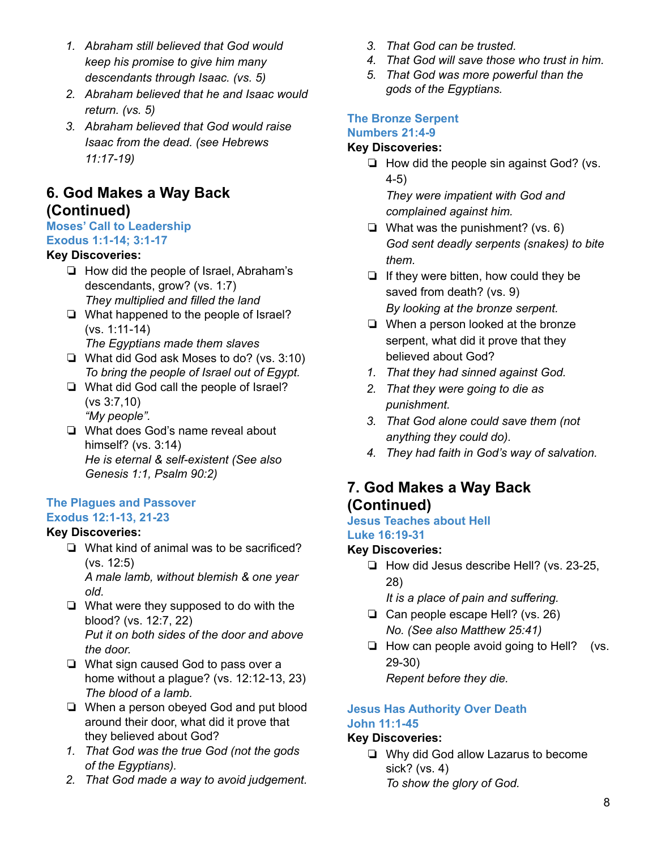- *1. Abraham still believed that God would keep his promise to give him many descendants through Isaac. (vs. 5)*
- *2. Abraham believed that he and Isaac would return. (vs. 5)*
- *3. Abraham believed that God would raise Isaac from the dead. (see Hebrews 11:17-19)*

## **6. God Makes a Way Back (Continued)**

#### **Moses' Call to Leadership**

#### **Exodus 1:1-14; 3:1-17**

#### **Key Discoveries:**

- ❏ How did the people of Israel, Abraham's descendants, grow? (vs. 1:7) *They multiplied and filled the land*
- ❏ What happened to the people of Israel? (vs. 1:11-14)
	- *The Egyptians made them slaves*
- ❏ What did God ask Moses to do? (vs. 3:10) *To bring the people of Israel out of Egypt.*
- ❏ What did God call the people of Israel? (vs 3:7,10) *"My people".*
- ❏ What does God's name reveal about himself? (vs. 3:14) *He is eternal & self-existent (See also Genesis 1:1, Psalm 90:2)*

#### **The Plagues and Passover Exodus 12:1-13, 21-23**

#### **Key Discoveries:**

- ❏ What kind of animal was to be sacrificed? (vs. 12:5) *A male lamb, without blemish & one year old.*
- ❏ What were they supposed to do with the blood? (vs. 12:7, 22) *Put it on both sides of the door and above the door.*
- ❏ What sign caused God to pass over a home without a plague? (vs. 12:12-13, 23) *The blood of a lamb.*
- ❏ When a person obeyed God and put blood around their door, what did it prove that they believed about God?
- *1. That God was the true God (not the gods of the Egyptians).*
- *2. That God made a way to avoid judgement.*
- *3. That God can be trusted.*
- *4. That God will save those who trust in him.*
- *5. That God was more powerful than the gods of the Egyptians.*

## **The Bronze Serpent Numbers 21:4-9**

#### **Key Discoveries:**

❏ How did the people sin against God? (vs. 4-5)

*They were impatient with God and complained against him.*

- $\Box$  What was the punishment? (vs. 6) *God sent deadly serpents (snakes) to bite them.*
- ❏ If they were bitten, how could they be saved from death? (vs. 9) *By looking at the bronze serpent.*
- ❏ When a person looked at the bronze serpent, what did it prove that they believed about God?
- *1. That they had sinned against God.*
- *2. That they were going to die as punishment.*
- *3. That God alone could save them (not anything they could do).*
- *4. They had faith in God's way of salvation.*

## **7. God Makes a Way Back (Continued)**

#### **Jesus Teaches about Hell Luke 16:19-31**

#### **Key Discoveries:**

- ❏ How did Jesus describe Hell? (vs. 23-25, 28)
	- *It is a place of pain and suffering.*
- ❏ Can people escape Hell? (vs. 26) *No. (See also Matthew 25:41)*
- ❏ How can people avoid going to Hell? (vs. 29-30) *Repent before they die.*

#### **Jesus Has Authority Over Death John 11:1-45**

#### **Key Discoveries:**

❏ Why did God allow Lazarus to become sick? (vs. 4) *To show the glory of God.*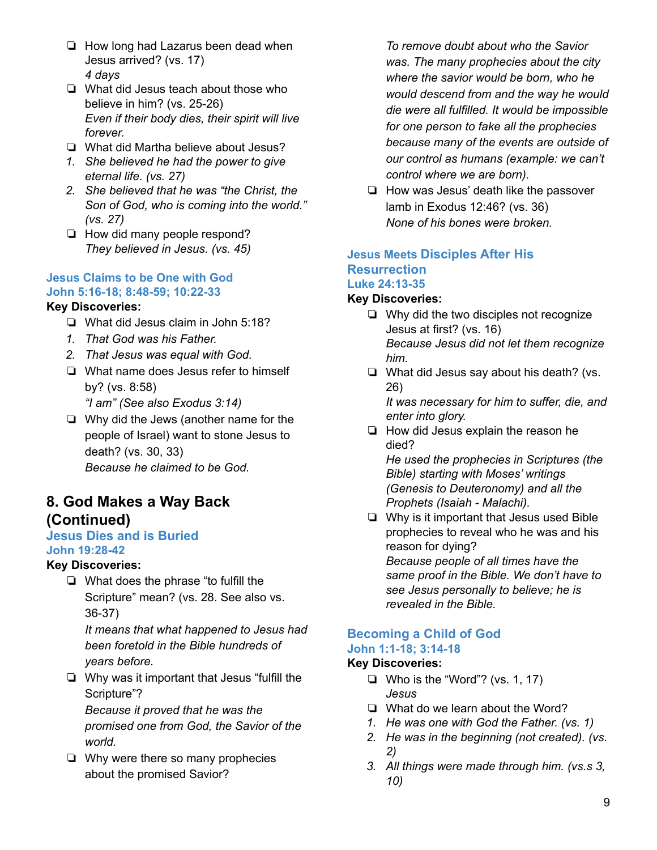- ❏ How long had Lazarus been dead when Jesus arrived? (vs. 17) *4 days*
- ❏ What did Jesus teach about those who believe in him? (vs. 25-26) *Even if their body dies, their spirit will live forever.*
- ❏ What did Martha believe about Jesus?
- *1. She believed he had the power to give eternal life. (vs. 27)*
- *2. She believed that he was "the Christ, the Son of God, who is coming into the world." (vs. 27)*
- ❏ How did many people respond? *They believed in Jesus. (vs. 45)*

#### **Jesus Claims to be One with God John 5:16-18; 8:48-59; 10:22-33**

#### **Key Discoveries:**

- ❏ What did Jesus claim in John 5:18?
- *1. That God was his Father.*
- *2. That Jesus was equal with God.*
- ❏ What name does Jesus refer to himself by? (vs. 8:58)
	- *"I am" (See also Exodus 3:14)*
- ❏ Why did the Jews (another name for the people of Israel) want to stone Jesus to death? (vs. 30, 33) *Because he claimed to be God.*

### **8. God Makes a Way Back (Continued)**

#### **Jesus Dies and is Buried John 19:28-42**

#### **Key Discoveries:**

❏ What does the phrase "to fulfill the Scripture" mean? (vs. 28. See also vs. 36-37)

*It means that what happened to Jesus had been foretold in the Bible hundreds of years before.*

❏ Why was it important that Jesus "fulfill the Scripture"?

*Because it proved that he was the promised one from God, the Savior of the world.*

❏ Why were there so many prophecies about the promised Savior?

*To remove doubt about who the Savior was. The many prophecies about the city where the savior would be born, who he would descend from and the way he would die were all fulfilled. It would be impossible for one person to fake all the prophecies because many of the events are outside of our control as humans (example: we can't control where we are born).*

❏ How was Jesus' death like the passover lamb in Exodus 12:46? (vs. 36) *None of his bones were broken.*

#### **Jesus Meets Disciples After His Resurrection Luke 24:13-35**

#### **Key Discoveries:**

- ❏ Why did the two disciples not recognize Jesus at first? (vs. 16) *Because Jesus did not let them recognize him.*
- ❏ What did Jesus say about his death? (vs. 26)

*It was necessary for him to suffer, die, and enter into glory.*

❏ How did Jesus explain the reason he died?

*He used the prophecies in Scriptures (the Bible) starting with Moses' writings (Genesis to Deuteronomy) and all the Prophets (Isaiah - Malachi).*

❏ Why is it important that Jesus used Bible prophecies to reveal who he was and his reason for dying? *Because people of all times have the*

*same proof in the Bible. We don't have to see Jesus personally to believe; he is revealed in the Bible.*

#### **Becoming a Child of God John 1:1-18; 3:14-18**

#### **Key Discoveries:**

- ❏ Who is the "Word"? (vs. 1, 17) *Jesus*
- ❏ What do we learn about the Word?
- *1. He was one with God the Father. (vs. 1)*
- *2. He was in the beginning (not created). (vs. 2)*
- *3. All things were made through him. (vs.s 3, 10)*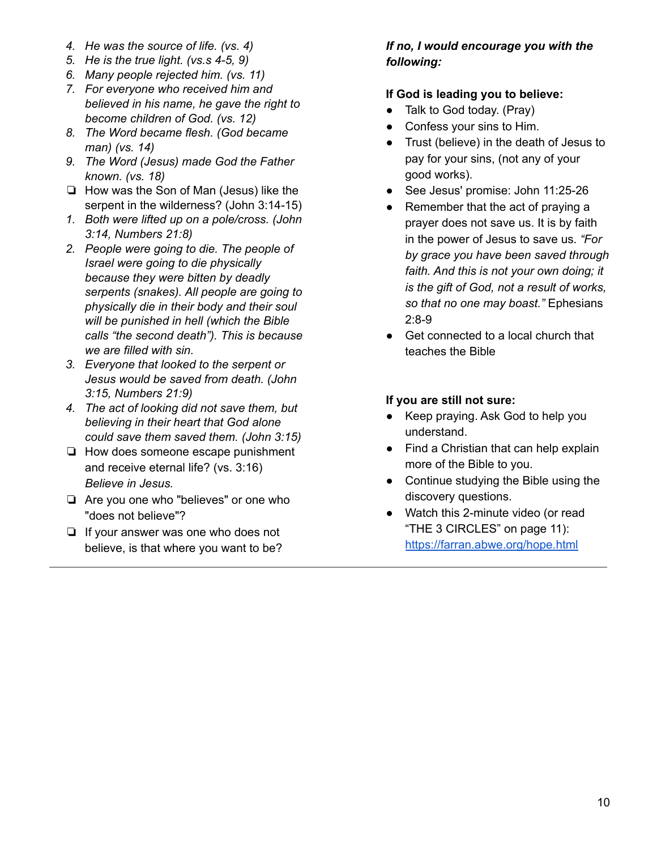- *4. He was the source of life. (vs. 4)*
- *5. He is the true light. (vs.s 4-5, 9)*
- *6. Many people rejected him. (vs. 11)*
- *7. For everyone who received him and believed in his name, he gave the right to become children of God. (vs. 12)*
- *8. The Word became flesh. (God became man) (vs. 14)*
- *9. The Word (Jesus) made God the Father known. (vs. 18)*
- ❏ How was the Son of Man (Jesus) like the serpent in the wilderness? (John 3:14-15)
- *1. Both were lifted up on a pole/cross. (John 3:14, Numbers 21:8)*
- *2. People were going to die. The people of Israel were going to die physically because they were bitten by deadly serpents (snakes). All people are going to physically die in their body and their soul will be punished in hell (which the Bible calls "the second death"). This is because we are filled with sin.*
- *3. Everyone that looked to the serpent or Jesus would be saved from death. (John 3:15, Numbers 21:9)*
- *4. The act of looking did not save them, but believing in their heart that God alone could save them saved them. (John 3:15)*
- ❏ How does someone escape punishment and receive eternal life? (vs. 3:16) *Believe in Jesus.*
- ❏ Are you one who "believes" or one who "does not believe"?
- ❏ If your answer was one who does not believe, is that where you want to be?

#### *If no, I would encourage you with the following:*

#### **If God is leading you to believe:**

- Talk to God today. (Pray)
- Confess your sins to Him.
- Trust (believe) in the death of Jesus to pay for your sins, (not any of your good works).
- See Jesus' promise: John 11:25-26
- Remember that the act of praying a prayer does not save us. It is by faith in the power of Jesus to save us. *"For by grace you have been saved through faith. And this is not your own doing; it is the gift of God, not a result of works, so that no one may boast."* Ephesians 2:8-9
- Get connected to a local church that teaches the Bible

#### **If you are still not sure:**

- Keep praying. Ask God to help you understand.
- Find a Christian that can help explain more of the Bible to you.
- Continue studying the Bible using the discovery questions.
- Watch this 2-minute video (or read "THE 3 CIRCLES" on page 11): <https://farran.abwe.org/hope.html>